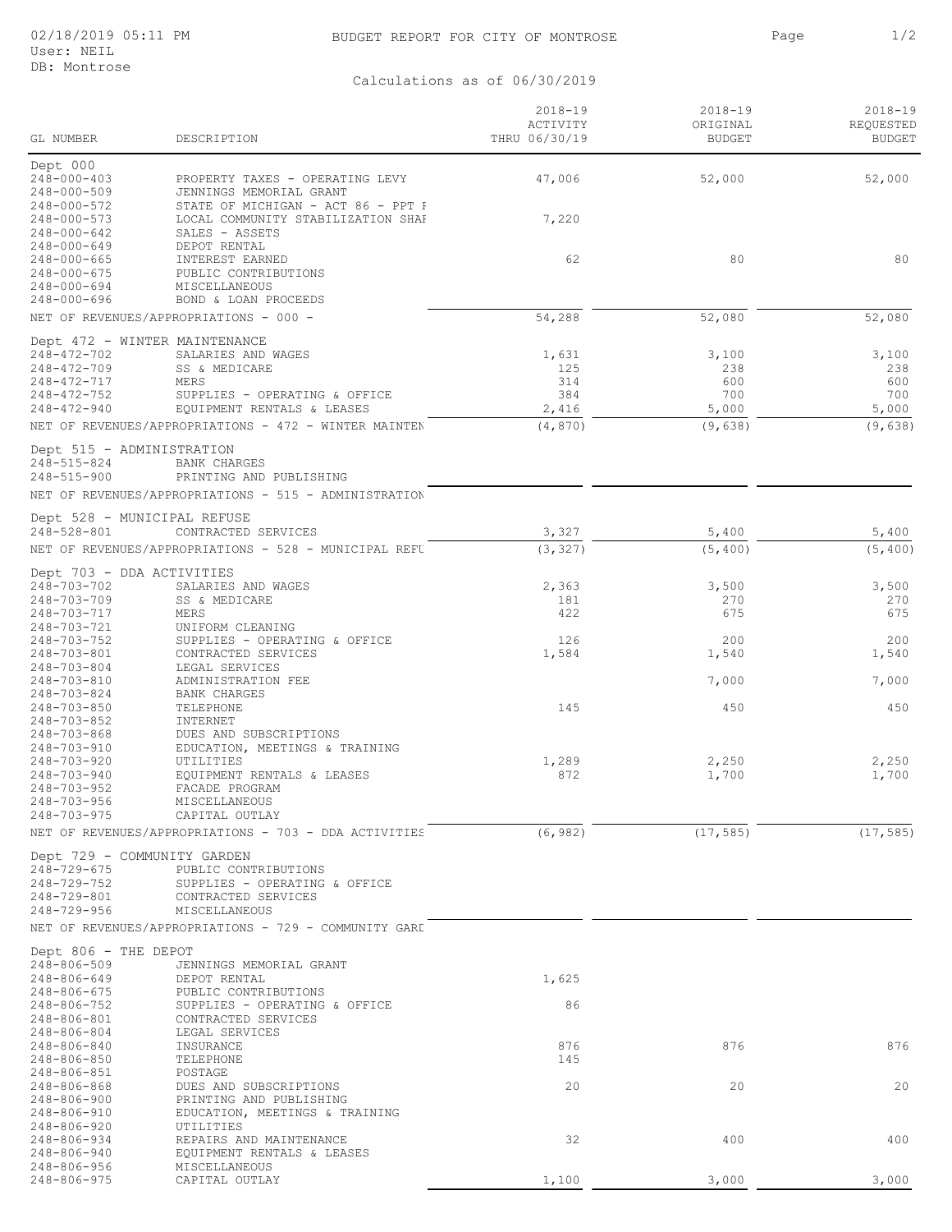## BUDGET REPORT FOR CITY OF MONTROSE **1/2** Page 1/2

Calculations as of 06/30/2019

| Page | 1/2 |
|------|-----|
|      |     |

|                                                               |                                                                                            | $2018 - 19$               | $2018 - 19$               | $2018 - 19$                |
|---------------------------------------------------------------|--------------------------------------------------------------------------------------------|---------------------------|---------------------------|----------------------------|
| GL NUMBER                                                     | DESCRIPTION                                                                                | ACTIVITY<br>THRU 06/30/19 | ORIGINAL<br><b>BUDGET</b> | REQUESTED<br><b>BUDGET</b> |
| Dept 000                                                      |                                                                                            |                           |                           |                            |
| $248 - 000 - 403$<br>$248 - 000 - 509$                        | PROPERTY TAXES - OPERATING LEVY<br>JENNINGS MEMORIAL GRANT                                 | 47,006                    | 52,000                    | 52,000                     |
| 248-000-572<br>$248 - 000 - 573$<br>$248 - 000 - 642$         | STATE OF MICHIGAN - ACT 86 - PPT F<br>LOCAL COMMUNITY STABILIZATION SHAF<br>SALES - ASSETS | 7,220                     |                           |                            |
| $248 - 000 - 649$<br>$248 - 000 - 665$                        | DEPOT RENTAL<br>INTEREST EARNED                                                            | 62                        | 80                        | 80                         |
| $248 - 000 - 675$                                             | PUBLIC CONTRIBUTIONS                                                                       |                           |                           |                            |
| $248 - 000 - 694$<br>$248 - 000 - 696$                        | <b>MISCELLANEOUS</b><br>BOND & LOAN PROCEEDS                                               |                           |                           |                            |
|                                                               | NET OF REVENUES/APPROPRIATIONS - 000 -                                                     | 54,288                    | 52,080                    | 52,080                     |
| Dept 472 - WINTER MAINTENANCE<br>248-472-702                  | SALARIES AND WAGES                                                                         | 1,631                     | 3,100                     | 3,100                      |
| $248 - 472 - 709$                                             | SS & MEDICARE                                                                              | 125                       | 238                       | 238                        |
| 248-472-717                                                   | MERS                                                                                       | 314                       | 600                       | 600                        |
| $248 - 472 - 752$<br>$248 - 472 - 940$                        | SUPPLIES - OPERATING & OFFICE<br>EQUIPMENT RENTALS & LEASES                                | 384<br>2,416              | 700<br>5,000              | 700<br>5,000               |
|                                                               | NET OF REVENUES/APPROPRIATIONS - 472 - WINTER MAINTEN                                      | (4, 870)                  | (9, 638)                  | (9, 638)                   |
| Dept 515 - ADMINISTRATION<br>248-515-824<br>$248 - 515 - 900$ | <b>BANK CHARGES</b><br>PRINTING AND PUBLISHING                                             |                           |                           |                            |
|                                                               | NET OF REVENUES/APPROPRIATIONS - 515 - ADMINISTRATION                                      |                           |                           |                            |
| Dept 528 - MUNICIPAL REFUSE                                   |                                                                                            |                           |                           |                            |
| $248 - 528 - 801$                                             | CONTRACTED SERVICES<br>NET OF REVENUES/APPROPRIATIONS - 528 - MUNICIPAL REFU               | 3,327<br>(3, 327)         | 5,400<br>(5, 400)         | 5,400<br>(5, 400)          |
| Dept 703 - DDA ACTIVITIES                                     |                                                                                            |                           |                           |                            |
| 248-703-702                                                   | SALARIES AND WAGES                                                                         | 2,363                     | 3,500                     | 3,500                      |
| 248-703-709<br>248-703-717                                    | SS & MEDICARE<br>MERS                                                                      | 181<br>422                | 270<br>675                | 270<br>675                 |
| 248-703-721                                                   | UNIFORM CLEANING                                                                           |                           |                           |                            |
| 248-703-752<br>248-703-801                                    | SUPPLIES - OPERATING & OFFICE<br>CONTRACTED SERVICES                                       | 126<br>1,584              | 200<br>1,540              | 200<br>1,540               |
| $248 - 703 - 804$                                             | LEGAL SERVICES                                                                             |                           |                           |                            |
| 248-703-810<br>$248 - 703 - 824$                              | ADMINISTRATION FEE<br><b>BANK CHARGES</b>                                                  |                           | 7,000                     | 7,000                      |
| $248 - 703 - 850$                                             | TELEPHONE                                                                                  | 145                       | 450                       | 450                        |
| $248 - 703 - 852$<br>$248 - 703 - 868$                        | INTERNET<br>DUES AND SUBSCRIPTIONS                                                         |                           |                           |                            |
| 248-703-910                                                   | EDUCATION, MEETINGS & TRAINING                                                             |                           |                           |                            |
| $248 - 703 - 920$                                             | UTILITIES                                                                                  | 1,289                     | 2,250                     | 2,250                      |
| 248-703-940<br>248-703-952                                    | EQUIPMENT RENTALS & LEASES<br>FACADE PROGRAM                                               | 872                       | 1,700                     | 1,700                      |
| 248-703-956                                                   | MISCELLANEOUS                                                                              |                           |                           |                            |
| $248 - 703 - 975$                                             | CAPITAL OUTLAY<br>NET OF REVENUES/APPROPRIATIONS - 703 - DDA ACTIVITIES                    | (6, 982)                  | (17, 585)                 | (17, 585)                  |
|                                                               |                                                                                            |                           |                           |                            |
| Dept 729 - COMMUNITY GARDEN<br>248-729-675                    | PUBLIC CONTRIBUTIONS                                                                       |                           |                           |                            |
| 248-729-752                                                   | SUPPLIES - OPERATING & OFFICE                                                              |                           |                           |                            |
| 248-729-801<br>$248 - 729 - 956$                              | CONTRACTED SERVICES<br>MISCELLANEOUS                                                       |                           |                           |                            |
|                                                               | NET OF REVENUES/APPROPRIATIONS - 729 - COMMUNITY GARI                                      |                           |                           |                            |
| Dept 806 - THE DEPOT                                          |                                                                                            |                           |                           |                            |
| 248-806-509<br>248-806-649                                    | JENNINGS MEMORIAL GRANT<br>DEPOT RENTAL                                                    | 1,625                     |                           |                            |
| 248-806-675                                                   | PUBLIC CONTRIBUTIONS                                                                       |                           |                           |                            |
| 248-806-752<br>248-806-801                                    | SUPPLIES - OPERATING & OFFICE<br>CONTRACTED SERVICES                                       | 86                        |                           |                            |
| 248-806-804                                                   | LEGAL SERVICES                                                                             |                           |                           |                            |
| 248-806-840<br>248-806-850                                    | INSURANCE<br>TELEPHONE                                                                     | 876<br>145                | 876                       | 876                        |
| 248-806-851                                                   | POSTAGE                                                                                    |                           |                           |                            |
| 248-806-868                                                   | DUES AND SUBSCRIPTIONS                                                                     | 20                        | 20                        | 20                         |
| 248-806-900<br>248-806-910                                    | PRINTING AND PUBLISHING<br>EDUCATION, MEETINGS & TRAINING                                  |                           |                           |                            |
| $248 - 806 - 920$                                             | UTILITIES                                                                                  |                           |                           |                            |
| 248-806-934<br>248-806-940                                    | REPAIRS AND MAINTENANCE<br>EQUIPMENT RENTALS & LEASES                                      | 32                        | 400                       | 400                        |
| 248-806-956                                                   | MISCELLANEOUS                                                                              |                           |                           |                            |
| 248-806-975                                                   | CAPITAL OUTLAY                                                                             | 1,100                     | 3,000                     | 3,000                      |